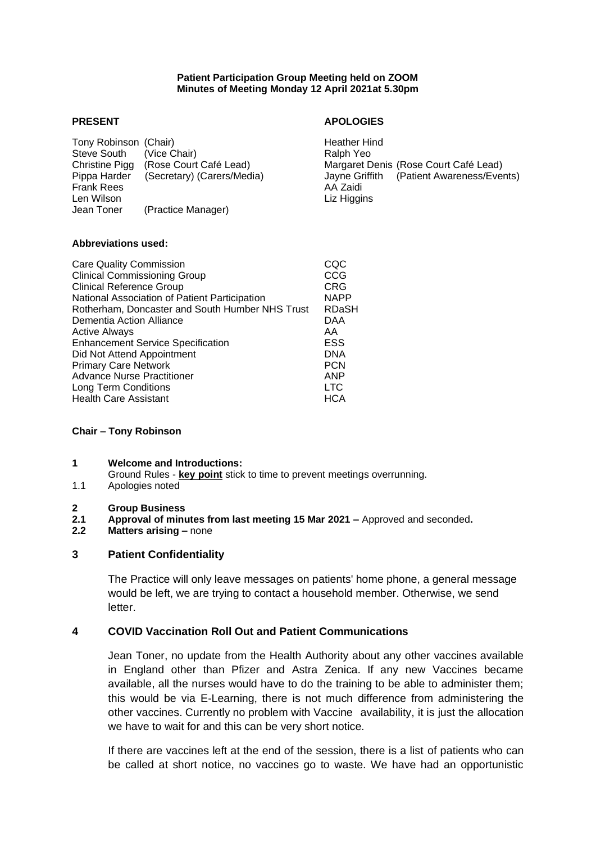#### **Patient Participation Group Meeting held on ZOOM Minutes of Meeting Monday 12 April 2021at 5.30pm**

Tony Robinson (Chair) Tony Heather Hind Steve South (Vice Chair) Steve South (Vice Chair) Christine Pigg (Rose Court Café Lead) Margaret Denis (Rose Court Café Lead) Frank Rees AA Zaidi<br>Len Wilson Liz Higgi Jean Toner (Practice Manager)

## **PRESENT APOLOGIES**

Pippa Harder (Secretary) (Carers/Media) Jayne Griffith (Patient Awareness/Events) Liz Higgins

#### **Abbreviations used:**

| <b>Care Quality Commission</b>                  | COC          |
|-------------------------------------------------|--------------|
| <b>Clinical Commissioning Group</b>             | CCG          |
| <b>Clinical Reference Group</b>                 | <b>CRG</b>   |
| National Association of Patient Participation   | <b>NAPP</b>  |
| Rotherham, Doncaster and South Humber NHS Trust | <b>RDaSH</b> |
| Dementia Action Alliance                        | DAA          |
| <b>Active Always</b>                            | AA           |
| <b>Enhancement Service Specification</b>        | ESS          |
| Did Not Attend Appointment                      | <b>DNA</b>   |
| <b>Primary Care Network</b>                     | <b>PCN</b>   |
| <b>Advance Nurse Practitioner</b>               | <b>ANP</b>   |
| Long Term Conditions                            | <b>LTC</b>   |
| <b>Health Care Assistant</b>                    | <b>HCA</b>   |
|                                                 |              |

## **Chair – Tony Robinson**

## **1 Welcome and Introductions:**

- Ground Rules **key point** stick to time to prevent meetings overrunning.
- 1.1 Apologies noted
- **2 Group Business**
- **2.1 Approval of minutes from last meeting 15 Mar 2021 –** Approved and seconded**.**
- **2.2 Matters arising –** none

## **3 Patient Confidentiality**

The Practice will only leave messages on patients' home phone, a general message would be left, we are trying to contact a household member. Otherwise, we send letter.

## **4 COVID Vaccination Roll Out and Patient Communications**

Jean Toner, no update from the Health Authority about any other vaccines available in England other than Pfizer and Astra Zenica. If any new Vaccines became available, all the nurses would have to do the training to be able to administer them; this would be via E-Learning, there is not much difference from administering the other vaccines. Currently no problem with Vaccine availability, it is just the allocation we have to wait for and this can be very short notice.

If there are vaccines left at the end of the session, there is a list of patients who can be called at short notice, no vaccines go to waste. We have had an opportunistic